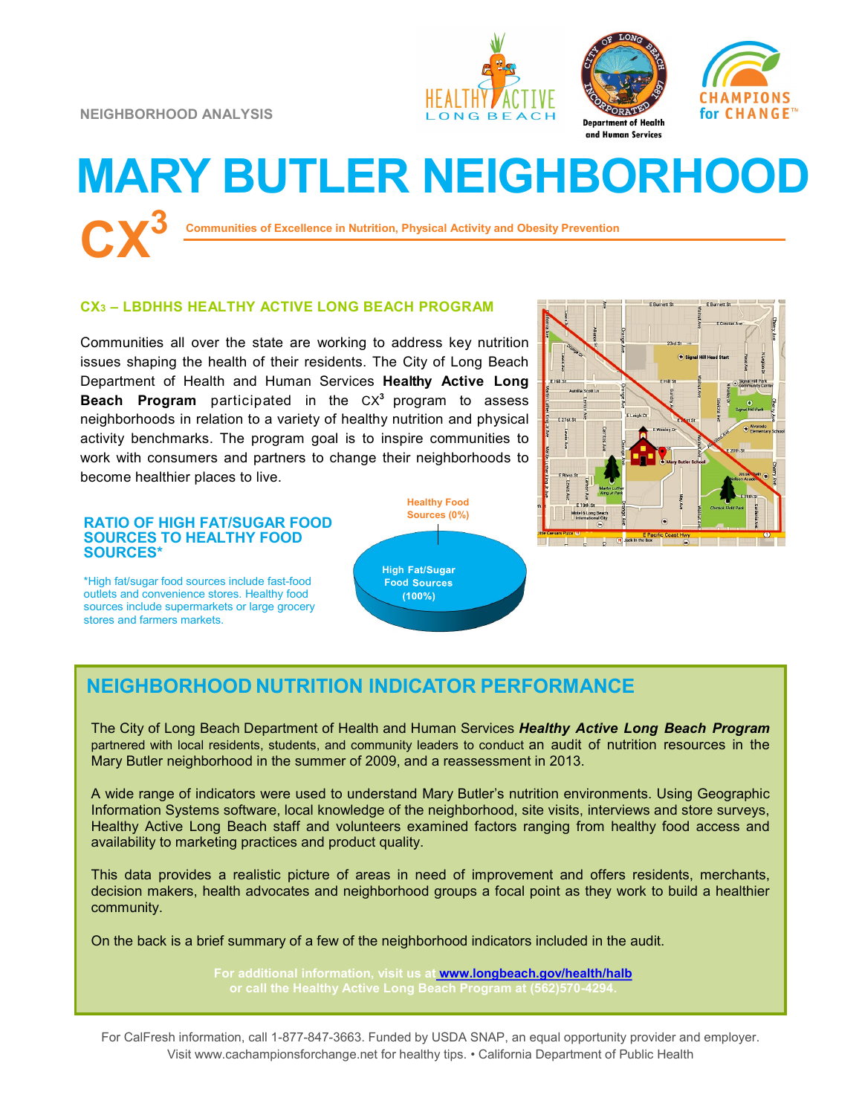**NEIGHBORHOOD ANALYSIS**







# **MARY BUTLER NEIGHBORHOOD CX<sup>3</sup>**

**Communities of Excellence in Nutrition, Physical Activity and Obesity Prevention**

### **CX<sup>3</sup> – LBDHHS HEALTHY ACTIVE LONG BEACH PROGRAM**

Communities all over the state are working to address key nutrition issues shaping the health of their residents. The City of Long Beach Department of Health and Human Services **Healthy Active Long Beach Program** participated in the CX**<sup>3</sup>** program to assess neighborhoods in relation to a variety of healthy nutrition and physical activity benchmarks. The program goal is to inspire communities to work with consumers and partners to change their neighborhoods to become healthier places to live.

#### **RATIO OF HIGH FAT/SUGAR FOOD SOURCES TO HEALTHY FOOD SOURCES\***

\*High fat/sugar food sources include fast-food outlets and convenience stores. Healthy food sources include supermarkets or large grocery stores and farmers markets.





## **NEIGHBORHOOD NUTRITION INDICATOR PERFORMANCE**

The City of Long Beach Department of Health and Human Services *Healthy Active Long Beach Program*  partnered with local residents, students, and community leaders to conduct an audit of nutrition resources in the Mary Butler neighborhood in the summer of 2009, and a reassessment in 2013.

A wide range of indicators were used to understand Mary Butler's nutrition environments. Using Geographic Information Systems software, local knowledge of the neighborhood, site visits, interviews and store surveys, Healthy Active Long Beach staff and volunteers examined factors ranging from healthy food access and availability to marketing practices and product quality.

This data provides a realistic picture of areas in need of improvement and offers residents, merchants, decision makers, health advocates and neighborhood groups a focal point as they work to build a healthier community.

On the back is a brief summary of a few of the neighborhood indicators included in the audit.

**For additional information, visit us at [www.longbeach.gov/health/halb](http://%20www.longbeach.gov/health%20)**

For CalFresh information, call 1-877-847-3663. Funded by USDA SNAP, an equal opportunity provider and employer. Visit www.cachampionsforchange.net for healthy tips. • California Department of Public Health